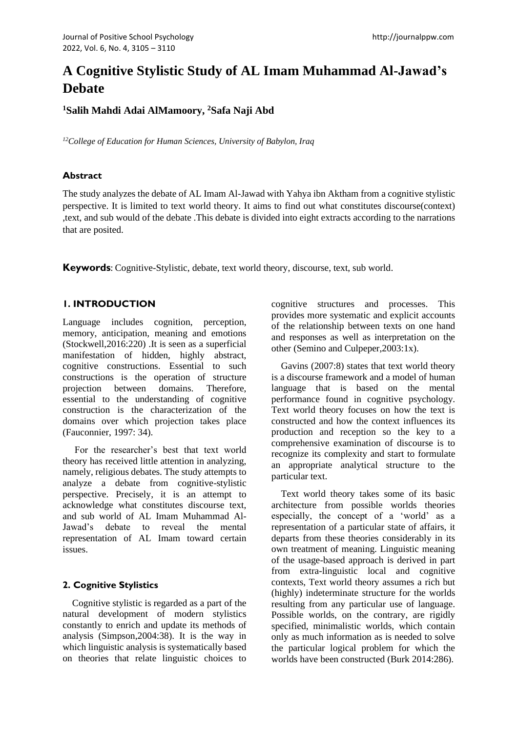# **A Cognitive Stylistic Study of AL Imam Muhammad Al-Jawad's Debate**

**<sup>1</sup>Salih Mahdi Adai AlMamoory, <sup>2</sup>Safa Naji Abd**

*<sup>12</sup>College of Education for Human Sciences, University of Babylon, Iraq*

## **Abstract**

The study analyzes the debate of AL Imam Al-Jawad with Yahya ibn Aktham from a cognitive stylistic perspective. It is limited to text world theory. It aims to find out what constitutes discourse(context) ,text, and sub would of the debate .This debate is divided into eight extracts according to the narrations that are posited.

**Keywords**: Cognitive-Stylistic, debate, text world theory, discourse, text, sub world.

## **1. INTRODUCTION**

Language includes cognition, perception, memory, anticipation, meaning and emotions (Stockwell,2016:220) .It is seen as a superficial manifestation of hidden, highly abstract, cognitive constructions. Essential to such constructions is the operation of structure projection between domains. Therefore, essential to the understanding of cognitive construction is the characterization of the domains over which projection takes place (Fauconnier, 1997: 34).

 For the researcher's best that text world theory has received little attention in analyzing, namely, religious debates. The study attempts to analyze a debate from cognitive-stylistic perspective. Precisely, it is an attempt to acknowledge what constitutes discourse text, and sub world of AL Imam Muhammad Al-Jawad's debate to reveal the mental representation of AL Imam toward certain issues.

### **2. Cognitive Stylistics**

 Cognitive stylistic is regarded as a part of the natural development of modern stylistics constantly to enrich and update its methods of analysis (Simpson,2004:38). It is the way in which linguistic analysis is systematically based on theories that relate linguistic choices to cognitive structures and processes. This provides more systematic and explicit accounts of the relationship between texts on one hand and responses as well as interpretation on the other (Semino and Culpeper,2003:1x).

 Gavins (2007:8) states that text world theory is a discourse framework and a model of human language that is based on the mental performance found in cognitive psychology. Text world theory focuses on how the text is constructed and how the context influences its production and reception so the key to a comprehensive examination of discourse is to recognize its complexity and start to formulate an appropriate analytical structure to the particular text.

 Text world theory takes some of its basic architecture from possible worlds theories especially, the concept of a 'world' as a representation of a particular state of affairs, it departs from these theories considerably in its own treatment of meaning. Linguistic meaning of the usage-based approach is derived in part from extra-linguistic local and cognitive contexts, Text world theory assumes a rich but (highly) indeterminate structure for the worlds resulting from any particular use of language. Possible worlds, on the contrary, are rigidly specified, minimalistic worlds, which contain only as much information as is needed to solve the particular logical problem for which the worlds have been constructed (Burk 2014:286).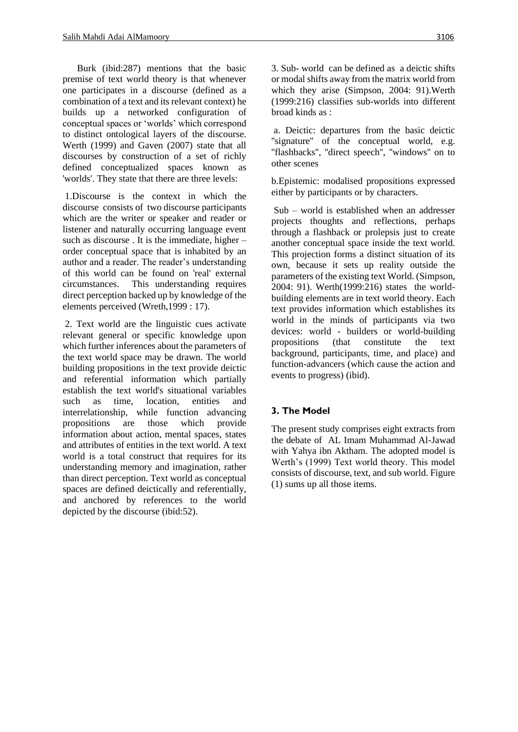Burk (ibid:287) mentions that the basic premise of text world theory is that whenever one participates in a discourse (defined as a combination of a text and its relevant context) he builds up a networked configuration of conceptual spaces or 'worlds' which correspond to distinct ontological layers of the discourse. Werth (1999) and Gaven (2007) state that all discourses by construction of a set of richly defined conceptualized spaces known as 'worlds'. They state that there are three levels:

1.Discourse is the context in which the discourse consists of two discourse participants which are the writer or speaker and reader or listener and naturally occurring language event such as discourse . It is the immediate, higher – order conceptual space that is inhabited by an author and a reader. The reader's understanding of this world can be found on 'real' external circumstances. This understanding requires direct perception backed up by knowledge of the elements perceived (Wreth,1999 : 17).

2. Text world are the linguistic cues activate relevant general or specific knowledge upon which further inferences about the parameters of the text world space may be drawn. The world building propositions in the text provide deictic and referential information which partially establish the text world's situational variables such as time, location, entities and interrelationship, while function advancing propositions are those which provide information about action, mental spaces, states and attributes of entities in the text world. A text world is a total construct that requires for its understanding memory and imagination, rather than direct perception. Text world as conceptual spaces are defined deictically and referentially, and anchored by references to the world depicted by the discourse (ibid:52).

a. Deictic: departures from the basic deictic "signature" of the conceptual world, e.g. ''flashbacks'', ''direct speech'', ''windows'' on to other scenes

b.Epistemic: modalised propositions expressed either by participants or by characters.

Sub – world is established when an addresser projects thoughts and reflections, perhaps through a flashback or prolepsis just to create another conceptual space inside the text world. This projection forms a distinct situation of its own, because it sets up reality outside the parameters of the existing text World. (Simpson, 2004: 91). Werth(1999:216) states the worldbuilding elements are in text world theory. Each text provides information which establishes its world in the minds of participants via two devices: world - builders or world-building propositions (that constitute the text background, participants, time, and place) and function-advancers (which cause the action and events to progress) (ibid).

# **3. The Model**

The present study comprises eight extracts from the debate of AL Imam Muhammad Al-Jawad with Yahya ibn Aktham. The adopted model is Werth's (1999) Text world theory. This model consists of discourse, text, and sub world. Figure (1) sums up all those items.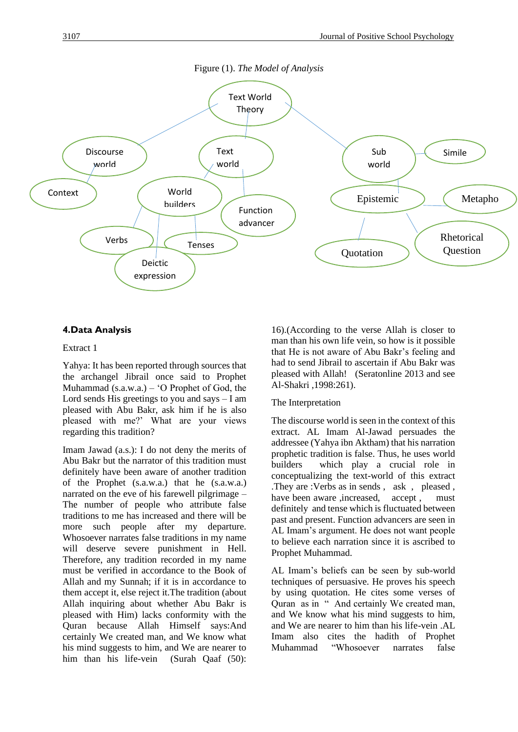

#### **4.Data Analysis**

#### Extract 1

Yahya: It has been reported through sources that the archangel Jibrail once said to Prophet Muhammad (s.a.w.a.) – 'O Prophet of God, the Lord sends His greetings to you and says – I am pleased with Abu Bakr, ask him if he is also pleased with me?' What are your views regarding this tradition?

Imam Jawad (a.s.): I do not deny the merits of Abu Bakr but the narrator of this tradition must definitely have been aware of another tradition of the Prophet (s.a.w.a.) that he (s.a.w.a.) narrated on the eve of his farewell pilgrimage – The number of people who attribute false traditions to me has increased and there will be more such people after my departure. Whosoever narrates false traditions in my name will deserve severe punishment in Hell. Therefore, any tradition recorded in my name must be verified in accordance to the Book of Allah and my Sunnah; if it is in accordance to them accept it, else reject it.The tradition (about Allah inquiring about whether Abu Bakr is pleased with Him) lacks conformity with the Quran because Allah Himself says:And certainly We created man, and We know what his mind suggests to him, and We are nearer to him than his life-vein (Surah Qaaf (50):

16).(According to the verse Allah is closer to man than his own life vein, so how is it possible that He is not aware of Abu Bakr's feeling and had to send Jibrail to ascertain if Abu Bakr was pleased with Allah! (Seratonline 2013 and see Al-Shakri ,1998:261).

#### The Interpretation

The discourse world is seen in the context of this extract. AL Imam Al-Jawad persuades the addressee (Yahya ibn Aktham) that his narration prophetic tradition is false. Thus, he uses world builders which play a crucial role in conceptualizing the text-world of this extract .They are :Verbs as in sends , ask , pleased , have been aware , increased, accept, must definitely and tense which is fluctuated between past and present. Function advancers are seen in AL Imam's argument. He does not want people to believe each narration since it is ascribed to Prophet Muhammad.

AL Imam's beliefs can be seen by sub-world techniques of persuasive. He proves his speech by using quotation. He cites some verses of Quran as in " And certainly We created man, and We know what his mind suggests to him, and We are nearer to him than his life-vein .AL Imam also cites the hadith of Prophet Muhammad "Whosoever narrates false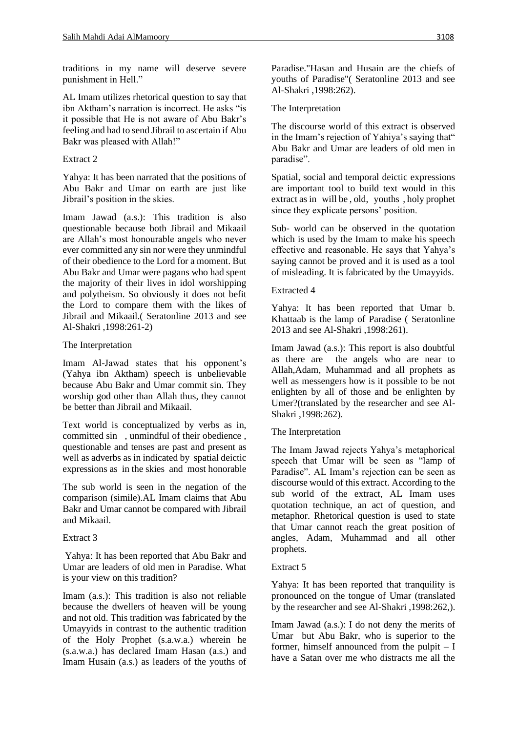traditions in my name will deserve severe punishment in Hell."

AL Imam utilizes rhetorical question to say that ibn Aktham's narration is incorrect. He asks "is it possible that He is not aware of Abu Bakr's feeling and had to send Jibrail to ascertain if Abu Bakr was pleased with Allah!"

### Extract 2

Yahya: It has been narrated that the positions of Abu Bakr and Umar on earth are just like Jibrail's position in the skies.

Imam Jawad (a.s.): This tradition is also questionable because both Jibrail and Mikaail are Allah's most honourable angels who never ever committed any sin nor were they unmindful of their obedience to the Lord for a moment. But Abu Bakr and Umar were pagans who had spent the majority of their lives in idol worshipping and polytheism. So obviously it does not befit the Lord to compare them with the likes of Jibrail and Mikaail.( Seratonline 2013 and see Al-Shakri ,1998:261-2)

### The Interpretation

Imam Al-Jawad states that his opponent's (Yahya ibn Aktham) speech is unbelievable because Abu Bakr and Umar commit sin. They worship god other than Allah thus, they cannot be better than Jibrail and Mikaail.

Text world is conceptualized by verbs as in, committed sin , unmindful of their obedience , questionable and tenses are past and present as well as adverbs as in indicated by spatial deictic expressions as in the skies and most honorable

The sub world is seen in the negation of the comparison (simile).AL Imam claims that Abu Bakr and Umar cannot be compared with Jibrail and Mikaail.

### Extract 3

Yahya: It has been reported that Abu Bakr and Umar are leaders of old men in Paradise. What is your view on this tradition?

Imam (a.s.): This tradition is also not reliable because the dwellers of heaven will be young and not old. This tradition was fabricated by the Umayyids in contrast to the authentic tradition of the Holy Prophet (s.a.w.a.) wherein he (s.a.w.a.) has declared Imam Hasan (a.s.) and Imam Husain (a.s.) as leaders of the youths of Paradise."Hasan and Husain are the chiefs of youths of Paradise"( Seratonline 2013 and see Al-Shakri ,1998:262).

The Interpretation

The discourse world of this extract is observed in the Imam's rejection of Yahiya's saying that" Abu Bakr and Umar are leaders of old men in paradise".

Spatial, social and temporal deictic expressions are important tool to build text would in this extract as in will be , old, youths , holy prophet since they explicate persons' position.

Sub- world can be observed in the quotation which is used by the Imam to make his speech effective and reasonable. He says that Yahya's saying cannot be proved and it is used as a tool of misleading. It is fabricated by the Umayyids.

## Extracted 4

Yahya: It has been reported that Umar b. Khattaab is the lamp of Paradise ( Seratonline 2013 and see Al-Shakri ,1998:261).

Imam Jawad (a.s.): This report is also doubtful as there are the angels who are near to Allah,Adam, Muhammad and all prophets as well as messengers how is it possible to be not enlighten by all of those and be enlighten by Umer?(translated by the researcher and see Al-Shakri ,1998:262).

# The Interpretation

The Imam Jawad rejects Yahya's metaphorical speech that Umar will be seen as "lamp of Paradise". AL Imam's rejection can be seen as discourse would of this extract. According to the sub world of the extract, AL Imam uses quotation technique, an act of question, and metaphor. Rhetorical question is used to state that Umar cannot reach the great position of angles, Adam, Muhammad and all other prophets.

## Extract 5

Yahya: It has been reported that tranquility is pronounced on the tongue of Umar (translated by the researcher and see Al-Shakri ,1998:262,).

Imam Jawad (a.s.): I do not deny the merits of Umar but Abu Bakr, who is superior to the former, himself announced from the pulpit – I have a Satan over me who distracts me all the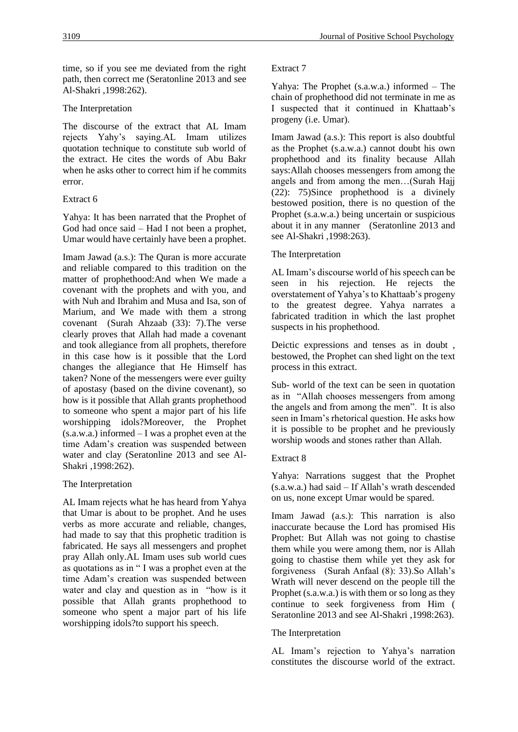time, so if you see me deviated from the right path, then correct me (Seratonline 2013 and see Al-Shakri ,1998:262).

#### The Interpretation

The discourse of the extract that AL Imam rejects Yahy's saying.AL Imam utilizes quotation technique to constitute sub world of the extract. He cites the words of Abu Bakr when he asks other to correct him if he commits error.

### Extract 6

Yahya: It has been narrated that the Prophet of God had once said – Had I not been a prophet, Umar would have certainly have been a prophet.

Imam Jawad (a.s.): The Quran is more accurate and reliable compared to this tradition on the matter of prophethood:And when We made a covenant with the prophets and with you, and with Nuh and Ibrahim and Musa and Isa, son of Marium, and We made with them a strong covenant (Surah Ahzaab (33): 7).The verse clearly proves that Allah had made a covenant and took allegiance from all prophets, therefore in this case how is it possible that the Lord changes the allegiance that He Himself has taken? None of the messengers were ever guilty of apostasy (based on the divine covenant), so how is it possible that Allah grants prophethood to someone who spent a major part of his life worshipping idols?Moreover, the Prophet (s.a.w.a.) informed – I was a prophet even at the time Adam's creation was suspended between water and clay (Seratonline 2013 and see Al-Shakri ,1998:262).

### The Interpretation

AL Imam rejects what he has heard from Yahya that Umar is about to be prophet. And he uses verbs as more accurate and reliable, changes, had made to say that this prophetic tradition is fabricated. He says all messengers and prophet pray Allah only.AL Imam uses sub world cues as quotations as in " I was a prophet even at the time Adam's creation was suspended between water and clay and question as in "how is it possible that Allah grants prophethood to someone who spent a major part of his life worshipping idols?to support his speech.

### Extract 7

Yahya: The Prophet (s.a.w.a.) informed – The chain of prophethood did not terminate in me as I suspected that it continued in Khattaab's progeny (i.e. Umar).

Imam Jawad (a.s.): This report is also doubtful as the Prophet (s.a.w.a.) cannot doubt his own prophethood and its finality because Allah says:Allah chooses messengers from among the angels and from among the men…(Surah Hajj (22): 75)Since prophethood is a divinely bestowed position, there is no question of the Prophet (s.a.w.a.) being uncertain or suspicious about it in any manner (Seratonline 2013 and see Al-Shakri ,1998:263).

### The Interpretation

AL Imam's discourse world of his speech can be seen in his rejection. He rejects the overstatement of Yahya's to Khattaab's progeny to the greatest degree. Yahya narrates a fabricated tradition in which the last prophet suspects in his prophethood.

Deictic expressions and tenses as in doubt , bestowed, the Prophet can shed light on the text process in this extract.

Sub- world of the text can be seen in quotation as in "Allah chooses messengers from among the angels and from among the men". It is also seen in Imam's rhetorical question. He asks how it is possible to be prophet and he previously worship woods and stones rather than Allah.

### Extract 8

Yahya: Narrations suggest that the Prophet (s.a.w.a.) had said – If Allah's wrath descended on us, none except Umar would be spared.

Imam Jawad (a.s.): This narration is also inaccurate because the Lord has promised His Prophet: But Allah was not going to chastise them while you were among them, nor is Allah going to chastise them while yet they ask for forgiveness (Surah Anfaal (8): 33).So Allah's Wrath will never descend on the people till the Prophet (s.a.w.a.) is with them or so long as they continue to seek forgiveness from Him ( Seratonline 2013 and see Al-Shakri ,1998:263).

### The Interpretation

AL Imam's rejection to Yahya's narration constitutes the discourse world of the extract.